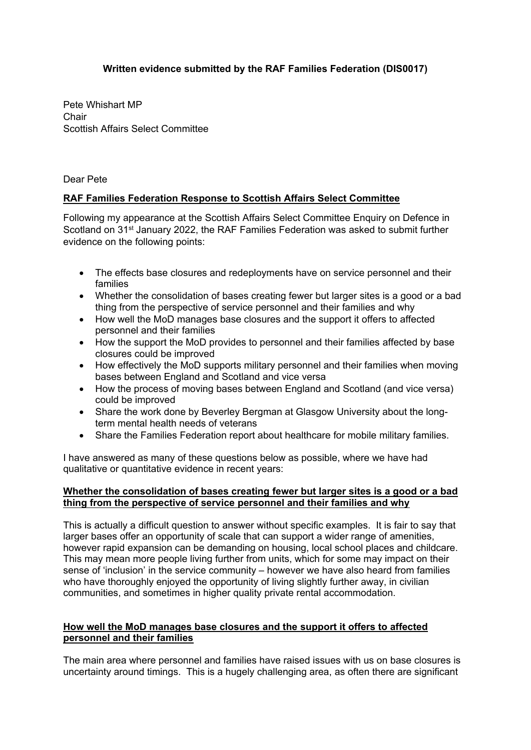# **Written evidence submitted by the RAF Families Federation (DIS0017)**

Pete Whishart MP Chair Scottish Affairs Select Committee

Dear Pete

## **RAF Families Federation Response to Scottish Affairs Select Committee**

Following my appearance at the Scottish Affairs Select Committee Enquiry on Defence in Scotland on 31<sup>st</sup> January 2022, the RAF Families Federation was asked to submit further evidence on the following points:

- The effects base closures and redeployments have on service personnel and their families
- Whether the consolidation of bases creating fewer but larger sites is a good or a bad thing from the perspective of service personnel and their families and why
- How well the MoD manages base closures and the support it offers to affected personnel and their families
- How the support the MoD provides to personnel and their families affected by base closures could be improved
- How effectively the MoD supports military personnel and their families when moving bases between England and Scotland and vice versa
- How the process of moving bases between England and Scotland (and vice versa) could be improved
- Share the work done by Beverley Bergman at Glasgow University about the longterm mental health needs of veterans
- Share the Families Federation report about healthcare for mobile military families.

I have answered as many of these questions below as possible, where we have had qualitative or quantitative evidence in recent years:

#### **Whether the consolidation of bases creating fewer but larger sites is a good or a bad thing from the perspective of service personnel and their families and why**

This is actually a difficult question to answer without specific examples. It is fair to say that larger bases offer an opportunity of scale that can support a wider range of amenities, however rapid expansion can be demanding on housing, local school places and childcare. This may mean more people living further from units, which for some may impact on their sense of 'inclusion' in the service community – however we have also heard from families who have thoroughly enjoyed the opportunity of living slightly further away, in civilian communities, and sometimes in higher quality private rental accommodation.

### **How well the MoD manages base closures and the support it offers to affected personnel and their families**

The main area where personnel and families have raised issues with us on base closures is uncertainty around timings. This is a hugely challenging area, as often there are significant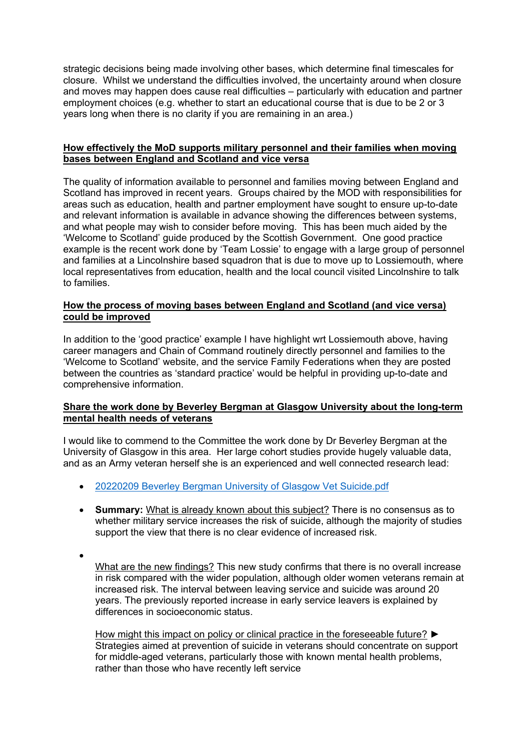strategic decisions being made involving other bases, which determine final timescales for closure. Whilst we understand the difficulties involved, the uncertainty around when closure and moves may happen does cause real difficulties – particularly with education and partner employment choices (e.g. whether to start an educational course that is due to be 2 or 3 years long when there is no clarity if you are remaining in an area.)

### **How effectively the MoD supports military personnel and their families when moving bases between England and Scotland and vice versa**

The quality of information available to personnel and families moving between England and Scotland has improved in recent years. Groups chaired by the MOD with responsibilities for areas such as education, health and partner employment have sought to ensure up-to-date and relevant information is available in advance showing the differences between systems, and what people may wish to consider before moving. This has been much aided by the 'Welcome to Scotland' guide produced by the Scottish Government. One good practice example is the recent work done by 'Team Lossie' to engage with a large group of personnel and families at a Lincolnshire based squadron that is due to move up to Lossiemouth, where local representatives from education, health and the local council visited Lincolnshire to talk to families.

## **How the process of moving bases between England and Scotland (and vice versa) could be improved**

In addition to the 'good practice' example I have highlight wrt Lossiemouth above, having career managers and Chain of Command routinely directly personnel and families to the 'Welcome to Scotland' website, and the service Family Federations when they are posted between the countries as 'standard practice' would be helpful in providing up-to-date and comprehensive information.

#### **Share the work done by Beverley Bergman at Glasgow University about the long-term mental health needs of veterans**

I would like to commend to the Committee the work done by Dr Beverley Bergman at the University of Glasgow in this area. Her large cohort studies provide hugely valuable data, and as an Army veteran herself she is an experienced and well connected research lead:

- [20220209](file:///C:/Users/maria.lyle/AppData/Local/Microsoft/Windows/INetCache/Content.Outlook/QLXDPLGH/20220209%20Beverley%20Bergman%20Univesity%20of%20Glasgow%20Vet%20Suicide.pdf) [Beverley](file:///C:/Users/maria.lyle/AppData/Local/Microsoft/Windows/INetCache/Content.Outlook/QLXDPLGH/20220209%20Beverley%20Bergman%20Univesity%20of%20Glasgow%20Vet%20Suicide.pdf) [Bergman](file:///C:/Users/maria.lyle/AppData/Local/Microsoft/Windows/INetCache/Content.Outlook/QLXDPLGH/20220209%20Beverley%20Bergman%20Univesity%20of%20Glasgow%20Vet%20Suicide.pdf) [University](file:///C:/Users/maria.lyle/AppData/Local/Microsoft/Windows/INetCache/Content.Outlook/QLXDPLGH/20220209%20Beverley%20Bergman%20Univesity%20of%20Glasgow%20Vet%20Suicide.pdf) [of](file:///C:/Users/maria.lyle/AppData/Local/Microsoft/Windows/INetCache/Content.Outlook/QLXDPLGH/20220209%20Beverley%20Bergman%20Univesity%20of%20Glasgow%20Vet%20Suicide.pdf) [Glasgow](file:///C:/Users/maria.lyle/AppData/Local/Microsoft/Windows/INetCache/Content.Outlook/QLXDPLGH/20220209%20Beverley%20Bergman%20Univesity%20of%20Glasgow%20Vet%20Suicide.pdf) [Vet](file:///C:/Users/maria.lyle/AppData/Local/Microsoft/Windows/INetCache/Content.Outlook/QLXDPLGH/20220209%20Beverley%20Bergman%20Univesity%20of%20Glasgow%20Vet%20Suicide.pdf) [Suicide.pdf](file:///C:/Users/maria.lyle/AppData/Local/Microsoft/Windows/INetCache/Content.Outlook/QLXDPLGH/20220209%20Beverley%20Bergman%20Univesity%20of%20Glasgow%20Vet%20Suicide.pdf)
- **Summary:** What is already known about this subject? There is no consensus as to whether military service increases the risk of suicide, although the majority of studies support the view that there is no clear evidence of increased risk.
- $\bullet$

What are the new findings? This new study confirms that there is no overall increase in risk compared with the wider population, although older women veterans remain at increased risk. The interval between leaving service and suicide was around 20 years. The previously reported increase in early service leavers is explained by differences in socioeconomic status.

How might this impact on policy or clinical practice in the foreseeable future? ► Strategies aimed at prevention of suicide in veterans should concentrate on support for middle-aged veterans, particularly those with known mental health problems, rather than those who have recently left service